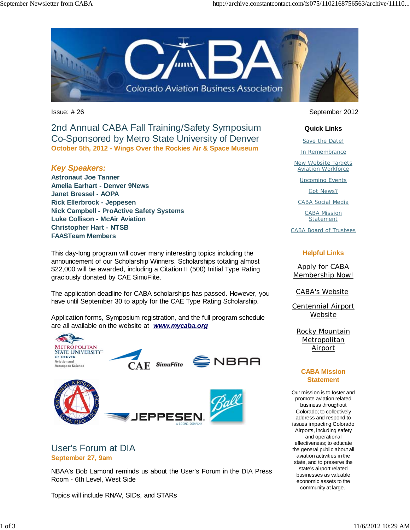

2nd Annual CABA Fall Training/Safety Symposium Co-Sponsored by Metro State University of Denver **October 5th, 2012 - Wings Over the Rockies Air & Space Museum** 

### *Key Speakers:*

**Astronaut Joe Tanner Amelia Earhart - Denver 9News Janet Bressel - AOPA Rick Ellerbrock - Jeppesen Nick Campbell - ProActive Safety Systems Luke Collison - McAir Aviation Christopher Hart - NTSB FAASTeam Members**

This day-long program will cover many interesting topics including the announcement of our Scholarship Winners. Scholarships totaling almost \$22,000 will be awarded, including a Citation II (500) Initial Type Rating graciously donated by CAE SimuFlite.

The application deadline for CABA scholarships has passed. However, you have until September 30 to apply for the CAE Type Rating Scholarship.

Application forms, Symposium registration, and the full program schedule are all available on the website at*www.mycaba.org*



### User's Forum at DIA **September 27, 9am**

NBAA's Bob Lamond reminds us about the User's Forum in the DIA Press Room - 6th Level, West Side

Topics will include RNAV, SIDs, and STARs

## Issue: #26 September 2012

#### **Quick Links**

Save the Date!

In Remembrance

New Website Targets Aviation Workforce

Upcoming Events

Got News?

CABA Social Media

CABA Mission Statement

CABA Board of Trustees

#### **Helpful Links**

Apply for CABA Membership Now!

CABA's Website

Centennial Airport Website

Rocky Mountain **Metropolitan** Airport

### **CABA Mission Statement**

Our mission is to foster and promote aviation related business throughout Colorado; to collectively address and respond to issues impacting Colorado Airports, including safety and operational effectiveness; to educate the general public about all aviation activities in the state, and to preserve the state's airport related businesses as valuable economic assets to the community at large.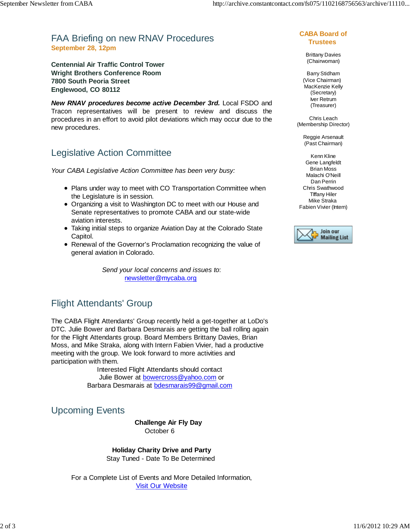### FAA Briefing on new RNAV Procedures **September 28, 12pm**

**Centennial Air Traffic Control Tower Wright Brothers Conference Room 7800 South Peoria Street Englewood, CO 80112** 

*New RNAV procedures become active December 3rd.* Local FSDO and Tracon representatives will be present to review and discuss the procedures in an effort to avoid pilot deviations which may occur due to the new procedures.

## Legislative Action Committee

*Your CABA Legislative Action Committee has been very busy:*

- Plans under way to meet with CO Transportation Committee when the Legislature is in session.
- Organizing a visit to Washington DC to meet with our House and Senate representatives to promote CABA and our state-wide aviation interests.
- Taking initial steps to organize Aviation Day at the Colorado State Capitol.
- Renewal of the Governor's Proclamation recognizing the value of general aviation in Colorado.

*Send your local concerns and issues to*: newsletter@mycaba.org

# Flight Attendants' Group

The CABA Flight Attendants' Group recently held a get-together at LoDo's DTC. Julie Bower and Barbara Desmarais are getting the ball rolling again for the Flight Attendants group. Board Members Brittany Davies, Brian Moss, and Mike Straka, along with Intern Fabien Vivier, had a productive meeting with the group. We look forward to more activities and participation with them.

> Interested Flight Attendants should contact Julie Bower at bowercross@yahoo.com or Barbara Desmarais at bdesmarais99@gmail.com

# Upcoming Events

 **Challenge Air Fly Day** October 6

**Holiday Charity Drive and Party** Stay Tuned - Date To Be Determined

 For a Complete List of Events and More Detailed Information, Visit Our Website

#### **CABA Board of Trustees**

Brittany Davies (Chairwoman)

Barry Stidham (Vice Chairman) MacKenzie Kelly (Secretary) Iver Retrum (Treasurer)

Chris Leach (Membership Director)

> Reggie Arsenault (Past Chairman)

Kenn Kline Gene Langfeldt Brian Moss Malachi O'Neill Dan Perrin Chris Swathwood TIffany Hiler Mike Straka Fabien Vivier (Intern)